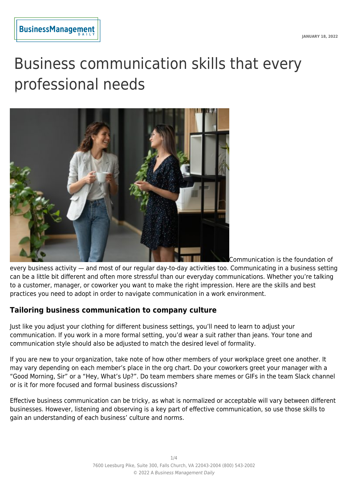# Business communication skills that every professional needs



Communication is the foundation of

every business activity — and most of our regular day-to-day activities too. Communicating in a business setting can be a little bit different and often more stressful than our everyday communications. Whether you're talking to a customer, manager, or coworker you want to make the right impression. Here are the skills and best practices you need to adopt in order to navigate communication in a work environment.

## **Tailoring business communication to company culture**

Just like you adjust your clothing for different business settings, you'll need to learn to adjust your communication. If you work in a more formal setting, you'd wear a suit rather than jeans. Your tone and communication style should also be adjusted to match the desired level of formality.

If you are new to your organization, take note of how other members of your workplace greet one another. It may vary depending on each member's place in the org chart. Do your coworkers greet your manager with a "Good Morning, Sir" or a "Hey, What's Up?". Do team members share memes or GIFs in the team Slack channel or is it for more focused and formal business discussions?

Effective business communication can be tricky, as what is normalized or acceptable will vary between different businesses. However, listening and observing is a key part of effective communication, so use those skills to gain an understanding of each business' culture and norms.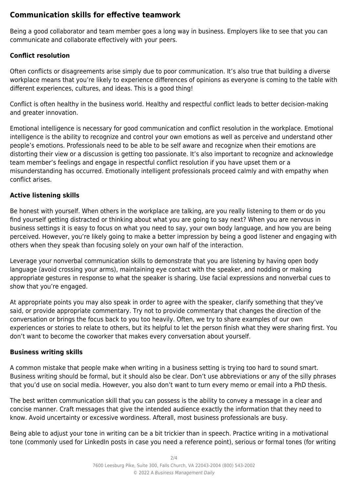## **Communication skills for effective teamwork**

Being a good collaborator and team member goes a long way in business. Employers like to see that you can communicate and collaborate effectively with your peers.

### **Conflict resolution**

Often conflicts or disagreements arise simply due to poor communication. It's also true that building a diverse workplace means that you're likely to experience differences of opinions as everyone is coming to the table with different experiences, cultures, and ideas. This is a good thing!

Conflict is often healthy in the business world. Healthy and respectful conflict leads to better decision-making and greater innovation.

Emotional intelligence is necessary for good communication and conflict resolution in the workplace. Emotional intelligence is the ability to recognize and control your own emotions as well as perceive and understand other people's emotions. Professionals need to be able to be self aware and recognize when their emotions are distorting their view or a discussion is getting too passionate. It's also important to recognize and acknowledge team member's feelings and engage in respectful conflict resolution if you have upset them or a misunderstanding has occurred. Emotionally intelligent professionals proceed calmly and with empathy when conflict arises.

#### **Active listening skills**

Be honest with yourself. When others in the workplace are talking, are you really listening to them or do you find yourself getting distracted or thinking about what you are going to say next? When you are nervous in business settings it is easy to focus on what you need to say, your own body language, and how you are being perceived. However, you're likely going to make a better impression by being a good listener and engaging with others when they speak than focusing solely on your own half of the interaction.

Leverage your nonverbal communication skills to demonstrate that you are listening by having open body language (avoid crossing your arms), maintaining eye contact with the speaker, and nodding or making appropriate gestures in response to what the speaker is sharing. Use facial expressions and nonverbal cues to show that you're engaged.

At appropriate points you may also speak in order to agree with the speaker, clarify something that they've said, or provide appropriate commentary. Try not to provide commentary that changes the direction of the conversation or brings the focus back to you too heavily. Often, we try to share examples of our own experiences or stories to relate to others, but its helpful to let the person finish what they were sharing first. You don't want to become the coworker that makes every conversation about yourself.

#### **Business writing skills**

A common mistake that people make when writing in a business setting is trying too hard to sound smart. Business writing should be formal, but it should also be clear. Don't use abbreviations or any of the silly phrases that you'd use on social media. However, you also don't want to turn every memo or email into a PhD thesis.

The best written communication skill that you can possess is the ability to convey a message in a clear and concise manner. Craft messages that give the intended audience exactly the information that they need to know. Avoid uncertainty or excessive wordiness. Afterall, most business professionals are busy.

Being able to adjust your tone in writing can be a bit trickier than in speech. Practice writing in a motivational tone (commonly used for LinkedIn posts in case you need a reference point), serious or formal tones (for writing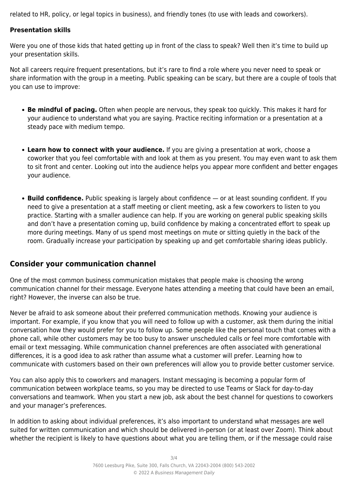related to HR, policy, or legal topics in business), and friendly tones (to use with leads and coworkers).

#### **Presentation skills**

Were you one of those kids that hated getting up in front of the class to speak? Well then it's time to build up your presentation skills.

Not all careers require frequent presentations, but it's rare to find a role where you never need to speak or share information with the group in a meeting. Public speaking can be scary, but there are a couple of tools that you can use to improve:

- **Be mindful of pacing.** Often when people are nervous, they speak too quickly. This makes it hard for your audience to understand what you are saying. Practice reciting information or a presentation at a steady pace with medium tempo.
- **Learn how to connect with your audience.** If you are giving a presentation at work, choose a coworker that you feel comfortable with and look at them as you present. You may even want to ask them to sit front and center. Looking out into the audience helps you appear more confident and better engages your audience.
- **Build confidence.** Public speaking is largely about confidence or at least sounding confident. If you need to give a presentation at a staff meeting or client meeting, ask a few coworkers to listen to you practice. Starting with a smaller audience can help. If you are working on general public speaking skills and don't have a presentation coming up, build confidence by making a concentrated effort to speak up more during meetings. Many of us spend most meetings on mute or sitting quietly in the back of the room. Gradually increase your participation by speaking up and get comfortable sharing ideas publicly.

## **Consider your communication channel**

One of the most common business communication mistakes that people make is choosing the wrong communication channel for their message. Everyone hates attending a meeting that could have been an email, right? However, the inverse can also be true.

Never be afraid to ask someone about their preferred communication methods. Knowing your audience is important. For example, if you know that you will need to follow up with a customer, ask them during the initial conversation how they would prefer for you to follow up. Some people like the personal touch that comes with a phone call, while other customers may be too busy to answer unscheduled calls or feel more comfortable with email or text messaging. While communication channel preferences are often associated with generational differences, it is a good idea to ask rather than assume what a customer will prefer. Learning how to communicate with customers based on their own preferences will allow you to provide better customer service.

You can also apply this to coworkers and managers. Instant messaging is becoming a popular form of communication between workplace teams, so you may be directed to use Teams or Slack for day-to-day conversations and teamwork. When you start a new job, ask about the best channel for questions to coworkers and your manager's preferences.

In addition to asking about individual preferences, it's also important to understand what messages are well suited for written communication and which should be delivered in-person (or at least over Zoom). Think about whether the recipient is likely to have questions about what you are telling them, or if the message could raise